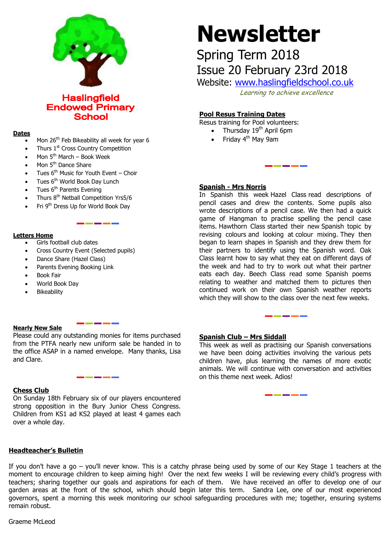

**Haslingfield Endowed Primary School** 

## **Dates**

- Mon 26<sup>th</sup> Feb Bikeability all week for year 6
- Thurs 1<sup>st</sup> Cross Country Competition
- Mon  $5<sup>th</sup>$  March Book Week
- Mon 5<sup>th</sup> Dance Share
- Tues  $6<sup>th</sup>$  Music for Youth Event Choir
- Tues 6<sup>th</sup> World Book Day Lunch
- Tues 6<sup>th</sup> Parents Evening
- Thurs 8th Netball Competition Yrs5/6
- Fri 9th Dress Up for World Book Day

# **Letters Home**

- Girls football club dates
- Cross Country Event (Selected pupils)
- Dance Share (Hazel Class)
- Parents Evening Booking Link
- Book Fair
- World Book Day
- Bikeability

# **Nearly New Sale**

Please could any outstanding monies for items purchased from the PTFA nearly new uniform sale be handed in to the office ASAP in a named envelope. Many thanks, Lisa and Clare.

# **Chess Club**

On Sunday 18th February six of our players encountered strong opposition in the Bury Junior Chess Congress. Children from KS1 ad KS2 played at least 4 games each over a whole day.

# **Headteacher's Bulletin**

# **Newsletter**

# Spring Term 2018 Issue 20 February 23rd 2018

Website: [www.haslingfieldschool.co.uk](http://www.haslingfieldschool.co.uk/)

Learning to achieve excellence

# **Pool Resus Training Dates**

Resus training for Pool volunteers:

- Thursday 19<sup>th</sup> April 6pm
	- Friday 4<sup>th</sup> May 9am

## **Spanish - Mrs Norris**

 which they will show to the class over the next few weeks. In Spanish this week Hazel Class read descriptions of pencil cases and drew the contents. Some pupils also wrote descriptions of a pencil case. We then had a quick game of Hangman to practise spelling the pencil case items. Hawthorn Class started their new Spanish topic by revising colours and looking at colour mixing. They then began to learn shapes in Spanish and they drew them for their partners to identify using the Spanish word. Oak Class learnt how to say what they eat on different days of the week and had to try to work out what their partner eats each day. Beech Class read some Spanish poems relating to weather and matched them to pictures then continued work on their own Spanish weather reports

## **Spanish Club – Mrs Siddall**

This week as well as practising our Spanish conversations we have been doing activities involving the various pets children have, plus learning the names of more exotic animals. We will continue with conversation and activities on this theme next week. Adios!

ŗ

If you don't have a go – you'll never know. This is a catchy phrase being used by some of our Key Stage 1 teachers at the moment to encourage children to keep aiming high! Over the next few weeks I will be reviewing every child's progress with teachers; sharing together our goals and aspirations for each of them. We have received an offer to develop one of our garden areas at the front of the school, which should begin later this term. Sandra Lee, one of our most experienced governors, spent a morning this week monitoring our school safeguarding procedures with me; together, ensuring systems remain robust.

Graeme McLeod